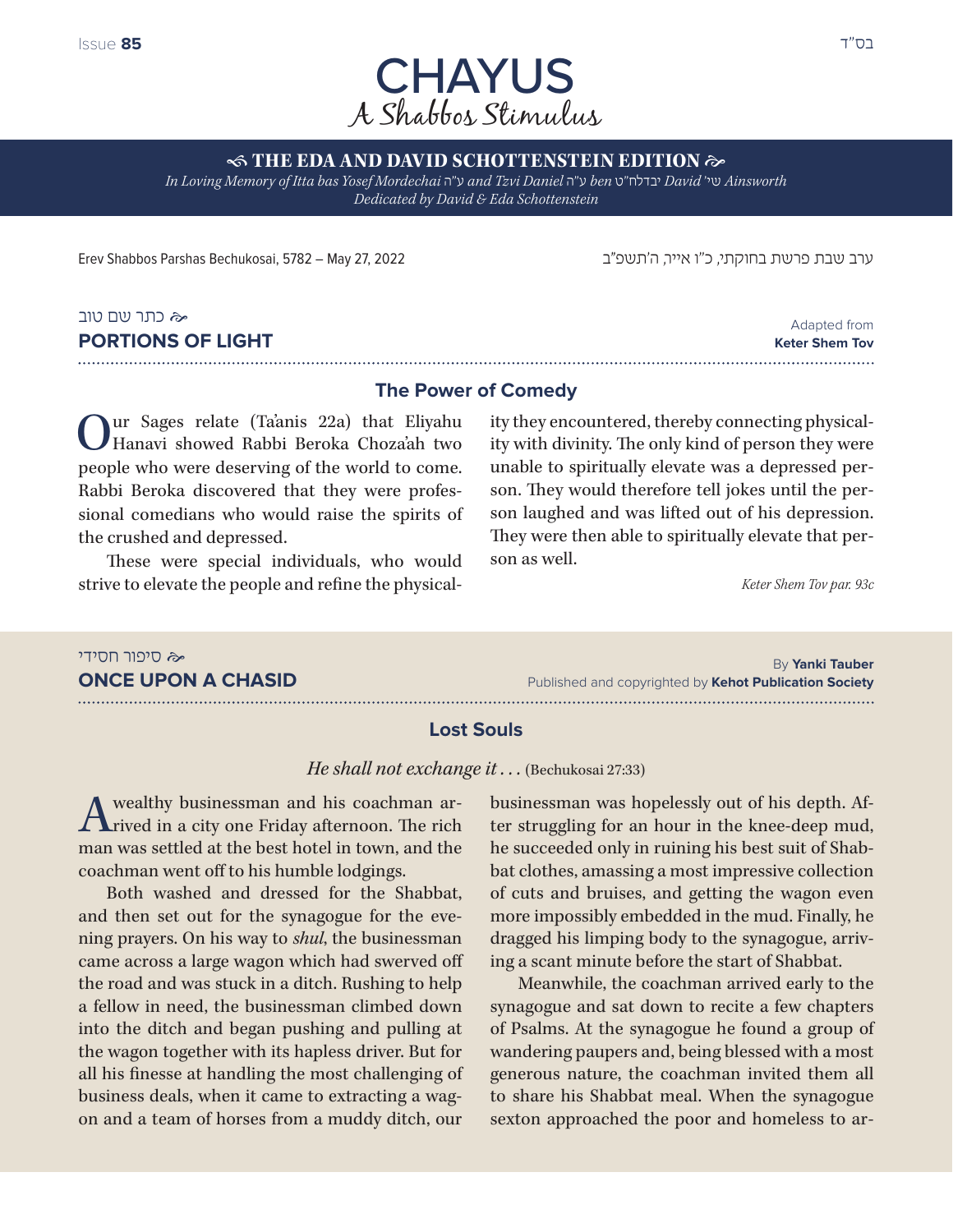

**S THE EDA AND DAVID SCHOTTENSTEIN EDITION**  $\approx$ 

*In Loving Memory of Itta bas Yosef Mordechai* ה"ע *and Tzvi Daniel* ה"ע *ben* ט"יבדלח *David* 'שי *Ainsworth Dedicated by David & Eda Schottenstein*

ערב שבת פרשת בחוקתי, כ"ו אייר, ה'תשפ״ב 2022 27, May – 5782 ,Bechukosai Parshas Shabbos Erev

## כתר שם טוב **PORTIONS OF LIGHT**

Adapted from **Keter Shem Tov** 

#### **The Power of Comedy**

ur Sages relate (Ta'anis 22a) that Eliyahu Hanavi showed Rabbi Beroka Choza'ah two people who were deserving of the world to come. Rabbi Beroka discovered that they were professional comedians who would raise the spirits of the crushed and depressed.

These were special individuals, who would strive to elevate the people and refine the physicality they encountered, thereby connecting physicality with divinity. The only kind of person they were unable to spiritually elevate was a depressed person. They would therefore tell jokes until the person laughed and was lifted out of his depression. They were then able to spiritually elevate that person as well.

*Keter Shem Tov par. 93c*

#### סיפור חסידי By **Yanki Tauber ONCE UPON A CHASID** Published and copyrighted by **Kehot Publication Society**

#### **Lost Souls**

*He shall not exchange it . . .* (Bechukosai 27:33)

A wealthy businessman and his coachman ar-<br>rived in a city one Friday afternoon. The rich man was settled at the best hotel in town, and the coachman went off to his humble lodgings.

Both washed and dressed for the Shabbat, and then set out for the synagogue for the evening prayers. On his way to *shul*, the businessman came across a large wagon which had swerved off the road and was stuck in a ditch. Rushing to help a fellow in need, the businessman climbed down into the ditch and began pushing and pulling at the wagon together with its hapless driver. But for all his finesse at handling the most challenging of business deals, when it came to extracting a wagon and a team of horses from a muddy ditch, our

businessman was hopelessly out of his depth. After struggling for an hour in the knee-deep mud, he succeeded only in ruining his best suit of Shabbat clothes, amassing a most impressive collection of cuts and bruises, and getting the wagon even more impossibly embedded in the mud. Finally, he dragged his limping body to the synagogue, arriving a scant minute before the start of Shabbat.

Meanwhile, the coachman arrived early to the synagogue and sat down to recite a few chapters of Psalms. At the synagogue he found a group of wandering paupers and, being blessed with a most generous nature, the coachman invited them all to share his Shabbat meal. When the synagogue sexton approached the poor and homeless to ar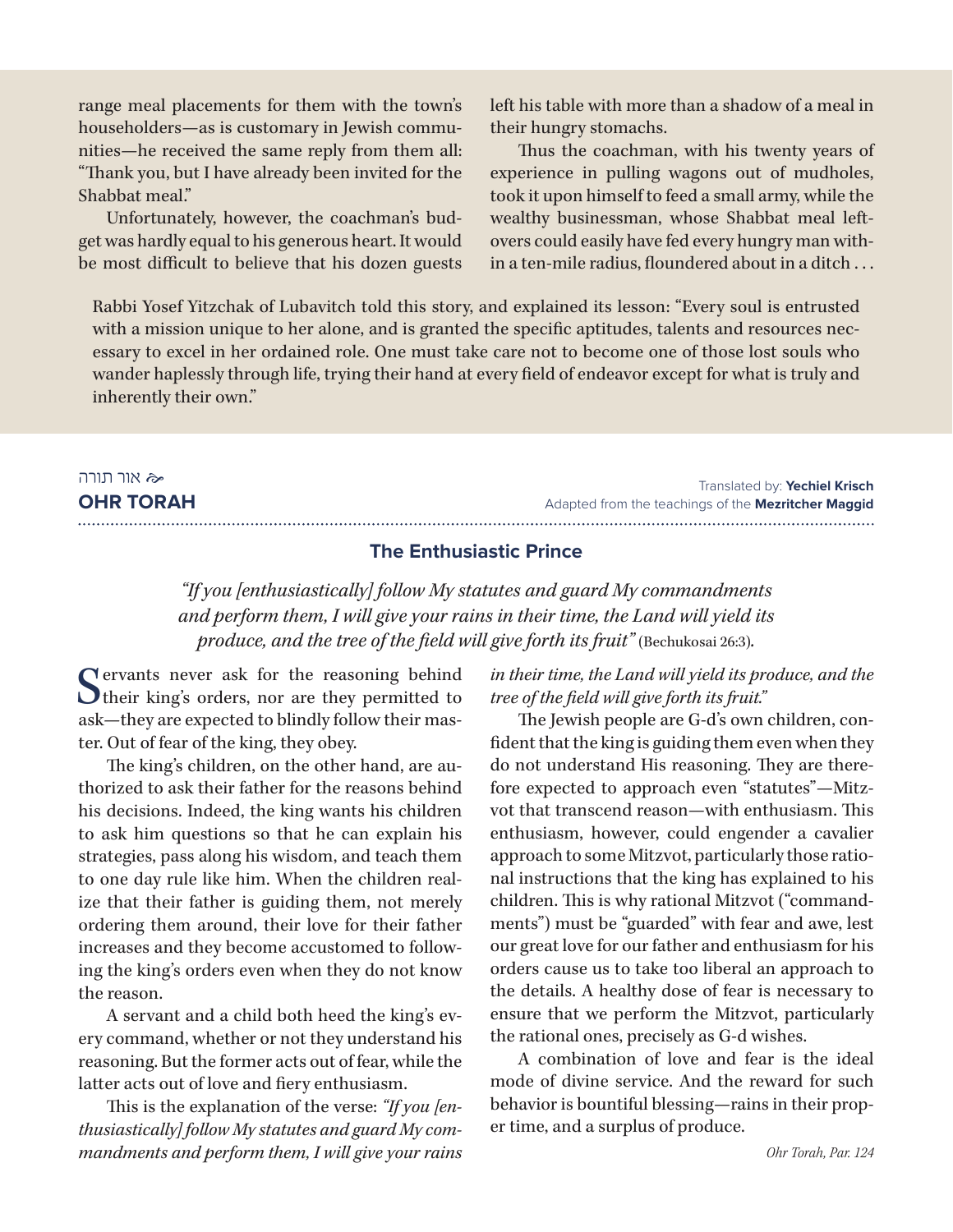range meal placements for them with the town's householders—as is customary in Jewish communities—he received the same reply from them all: "Thank you, but I have already been invited for the Shabbat meal."

Unfortunately, however, the coachman's budget was hardly equal to his generous heart. It would be most difficult to believe that his dozen guests left his table with more than a shadow of a meal in their hungry stomachs.

Thus the coachman, with his twenty years of experience in pulling wagons out of mudholes, took it upon himself to feed a small army, while the wealthy businessman, whose Shabbat meal leftovers could easily have fed every hungry man within a ten-mile radius, floundered about in a ditch . . .

Rabbi Yosef Yitzchak of Lubavitch told this story, and explained its lesson: "Every soul is entrusted with a mission unique to her alone, and is granted the specific aptitudes, talents and resources necessary to excel in her ordained role. One must take care not to become one of those lost souls who wander haplessly through life, trying their hand at every field of endeavor except for what is truly and inherently their own."

### אור תורה **OHR TORAH**

Translated by: **Yechiel Krisch** Adapted from the teachings of the **Mezritcher Maggid** 

#### **The Enthusiastic Prince**

*"If you [enthusiastically] follow My statutes and guard My commandments and perform them, I will give your rains in their time, the Land will yield its produce, and the tree of the field will give forth its fruit*" (Bechukosai 26:3).

Servants never ask for the reasoning behind<br>their king's orders, nor are they permitted to ask—they are expected to blindly follow their master. Out of fear of the king, they obey.

The king's children, on the other hand, are authorized to ask their father for the reasons behind his decisions. Indeed, the king wants his children to ask him questions so that he can explain his strategies, pass along his wisdom, and teach them to one day rule like him. When the children realize that their father is guiding them, not merely ordering them around, their love for their father increases and they become accustomed to following the king's orders even when they do not know the reason.

A servant and a child both heed the king's every command, whether or not they understand his reasoning. But the former acts out of fear, while the latter acts out of love and fiery enthusiasm.

This is the explanation of the verse: *"If you [enthusiastically] follow My statutes and guard My commandments and perform them, I will give your rains*  *in their time, the Land will yield its produce, and the tree of the field will give forth its fruit."*

The Jewish people are G-d's own children, confident that the king is guiding them even when they do not understand His reasoning. They are therefore expected to approach even "statutes"—Mitzvot that transcend reason—with enthusiasm. This enthusiasm, however, could engender a cavalier approach to some Mitzvot, particularly those rational instructions that the king has explained to his children. This is why rational Mitzvot ("commandments") must be "guarded" with fear and awe, lest our great love for our father and enthusiasm for his orders cause us to take too liberal an approach to the details. A healthy dose of fear is necessary to ensure that we perform the Mitzvot, particularly the rational ones, precisely as G-d wishes.

A combination of love and fear is the ideal mode of divine service. And the reward for such behavior is bountiful blessing—rains in their proper time, and a surplus of produce.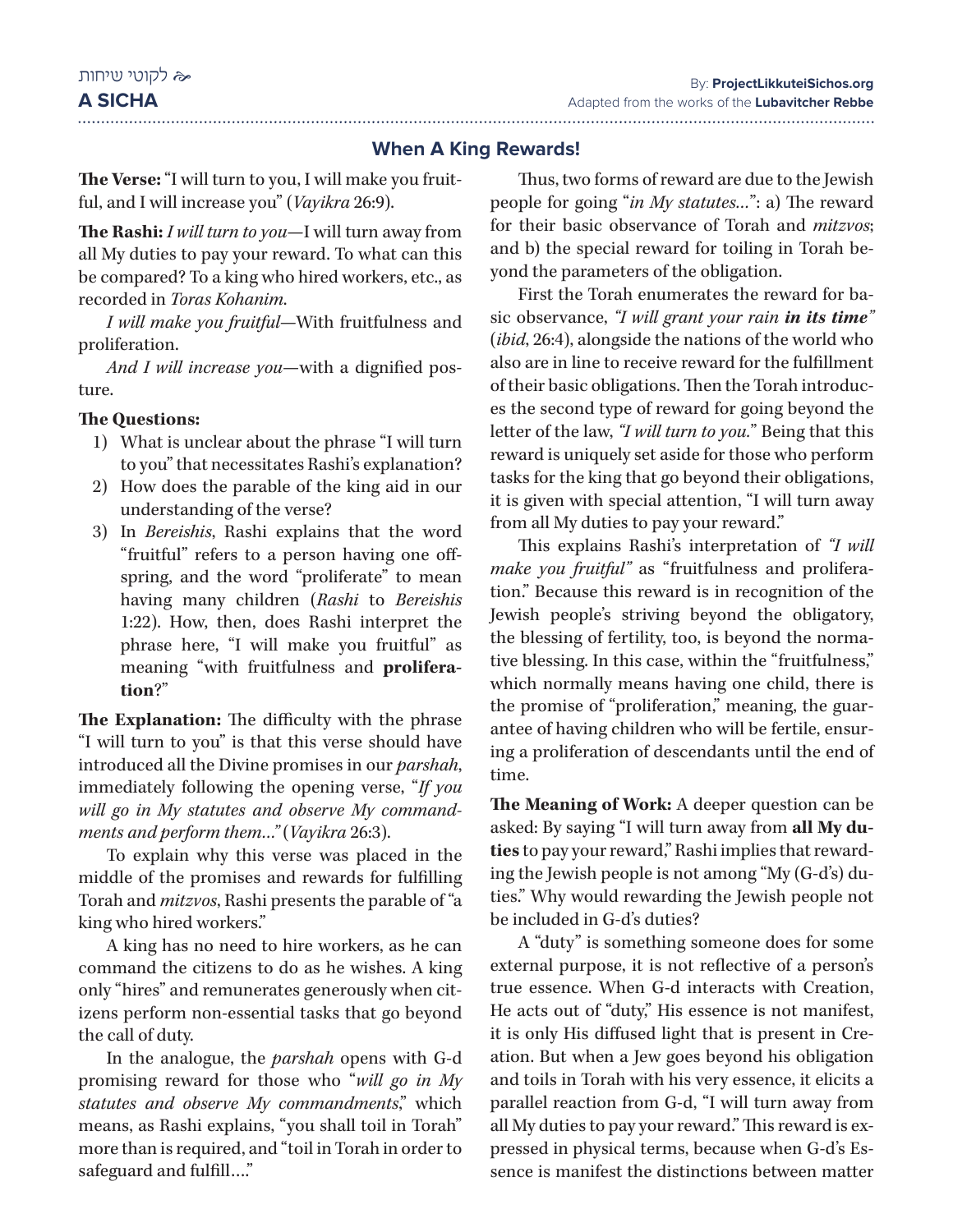#### **When A King Rewards!**

**The Verse:** "I will turn to you, I will make you fruitful, and I will increase you" (*Vayikra* 26:9).

**The Rashi:** *I will turn to you*—I will turn away from all My duties to pay your reward. To what can this be compared? To a king who hired workers, etc., as recorded in *Toras Kohanim*.

*I will make you fruitful*—With fruitfulness and proliferation.

*And I will increase you*—with a dignified posture.

#### **The Questions:**

- 1) What is unclear about the phrase "I will turn to you" that necessitates Rashi's explanation?
- 2) How does the parable of the king aid in our understanding of the verse?
- 3) In *Bereishis*, Rashi explains that the word "fruitful" refers to a person having one offspring, and the word "proliferate" to mean having many children (*Rashi* to *Bereishis* 1:22). How, then, does Rashi interpret the phrase here, "I will make you fruitful" as meaning "with fruitfulness and **proliferation**?"

**The Explanation:** The difficulty with the phrase "I will turn to you" is that this verse should have introduced all the Divine promises in our *parshah*, immediately following the opening verse, "*If you will go in My statutes and observe My commandments and perform them…"* (*Vayikra* 26:3).

To explain why this verse was placed in the middle of the promises and rewards for fulfilling Torah and *mitzvos*, Rashi presents the parable of "a king who hired workers."

A king has no need to hire workers, as he can command the citizens to do as he wishes. A king only "hires" and remunerates generously when citizens perform non-essential tasks that go beyond the call of duty.

In the analogue, the *parshah* opens with G-d promising reward for those who "*will go in My statutes and observe My commandments*," which means, as Rashi explains, "you shall toil in Torah" more than is required, and "toil in Torah in order to safeguard and fulfill…."

Thus, two forms of reward are due to the Jewish people for going "*in My statutes…*": a) The reward for their basic observance of Torah and *mitzvos*; and b) the special reward for toiling in Torah beyond the parameters of the obligation.

First the Torah enumerates the reward for basic observance, *"I will grant your rain in its time"* (*ibid*, 26:4), alongside the nations of the world who also are in line to receive reward for the fulfillment of their basic obligations. Then the Torah introduces the second type of reward for going beyond the letter of the law, *"I will turn to you.*" Being that this reward is uniquely set aside for those who perform tasks for the king that go beyond their obligations, it is given with special attention, "I will turn away from all My duties to pay your reward."

This explains Rashi's interpretation of *"I will make you fruitful"* as "fruitfulness and proliferation." Because this reward is in recognition of the Jewish people's striving beyond the obligatory, the blessing of fertility, too, is beyond the normative blessing. In this case, within the "fruitfulness," which normally means having one child, there is the promise of "proliferation," meaning, the guarantee of having children who will be fertile, ensuring a proliferation of descendants until the end of time.

**The Meaning of Work:** A deeper question can be asked: By saying "I will turn away from **all My duties** to pay your reward," Rashi implies that rewarding the Jewish people is not among "My (G-d's) duties." Why would rewarding the Jewish people not be included in G-d's duties?

A "duty" is something someone does for some external purpose, it is not reflective of a person's true essence. When G-d interacts with Creation, He acts out of "duty," His essence is not manifest, it is only His diffused light that is present in Creation. But when a Jew goes beyond his obligation and toils in Torah with his very essence, it elicits a parallel reaction from G-d, "I will turn away from all My duties to pay your reward." This reward is expressed in physical terms, because when G-d's Essence is manifest the distinctions between matter

# לקוטי שיחות

**A SICHA**